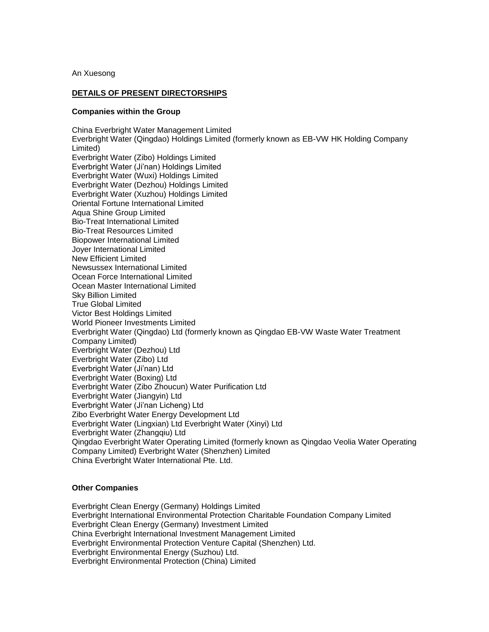An Xuesong

## **DETAILS OF PRESENT DIRECTORSHIPS**

## **Companies within the Group**

China Everbright Water Management Limited Everbright Water (Qingdao) Holdings Limited (formerly known as EB-VW HK Holding Company Limited) Everbright Water (Zibo) Holdings Limited Everbright Water (Ji'nan) Holdings Limited Everbright Water (Wuxi) Holdings Limited Everbright Water (Dezhou) Holdings Limited Everbright Water (Xuzhou) Holdings Limited Oriental Fortune International Limited Aqua Shine Group Limited Bio-Treat International Limited Bio-Treat Resources Limited Biopower International Limited Joyer International Limited New Efficient Limited Newsussex International Limited Ocean Force International Limited Ocean Master International Limited Sky Billion Limited True Global Limited Victor Best Holdings Limited World Pioneer Investments Limited Everbright Water (Qingdao) Ltd (formerly known as Qingdao EB-VW Waste Water Treatment Company Limited) Everbright Water (Dezhou) Ltd Everbright Water (Zibo) Ltd Everbright Water (Ji'nan) Ltd Everbright Water (Boxing) Ltd Everbright Water (Zibo Zhoucun) Water Purification Ltd Everbright Water (Jiangyin) Ltd Everbright Water (Ji'nan Licheng) Ltd Zibo Everbright Water Energy Development Ltd Everbright Water (Lingxian) Ltd Everbright Water (Xinyi) Ltd Everbright Water (Zhangqiu) Ltd Qingdao Everbright Water Operating Limited (formerly known as Qingdao Veolia Water Operating Company Limited) Everbright Water (Shenzhen) Limited China Everbright Water International Pte. Ltd.

## **Other Companies**

Everbright Clean Energy (Germany) Holdings Limited Everbright International Environmental Protection Charitable Foundation Company Limited Everbright Clean Energy (Germany) Investment Limited China Everbright International Investment Management Limited Everbright Environmental Protection Venture Capital (Shenzhen) Ltd. Everbright Environmental Energy (Suzhou) Ltd. Everbright Environmental Protection (China) Limited